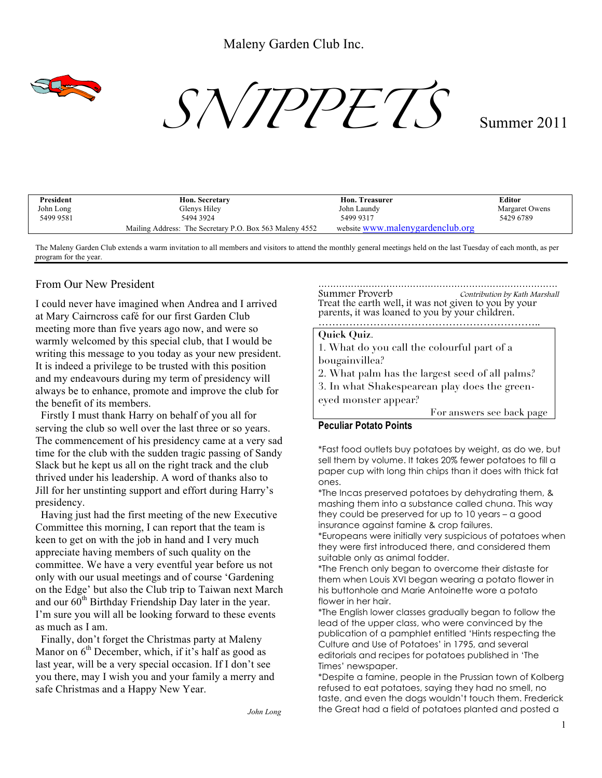

 $S\sqrt{JPPETS}$  Summer 2011

| President | Hon. Secretary                                          | <b>Hon. Treasurer</b>            | Editor         |
|-----------|---------------------------------------------------------|----------------------------------|----------------|
| John Long | Glenys Hiley                                            | John Laundy                      | Margaret Owens |
| 5499 9581 | 5494 3924                                               | 5499 9317                        | 5429 6789      |
|           | Mailing Address: The Secretary P.O. Box 563 Maleny 4552 | website www.malenygardenclub.org |                |

The Maleny Garden Club extends a warm invitation to all members and visitors to attend the monthly general meetings held on the last Tuesday of each month, as per program for the year.

# From Our New President

I could never have imagined when Andrea and I arrived at Mary Cairncross café for our first Garden Club meeting more than five years ago now, and were so warmly welcomed by this special club, that I would be writing this message to you today as your new president. It is indeed a privilege to be trusted with this position and my endeavours during my term of presidency will always be to enhance, promote and improve the club for the benefit of its members.

 Firstly I must thank Harry on behalf of you all for serving the club so well over the last three or so years. The commencement of his presidency came at a very sad time for the club with the sudden tragic passing of Sandy Slack but he kept us all on the right track and the club thrived under his leadership. A word of thanks also to Jill for her unstinting support and effort during Harry's presidency.

 Having just had the first meeting of the new Executive Committee this morning, I can report that the team is keen to get on with the job in hand and I very much appreciate having members of such quality on the committee. We have a very eventful year before us not only with our usual meetings and of course 'Gardening on the Edge' but also the Club trip to Taiwan next March and our  $60^{th}$  Birthday Friendship Day later in the year. I'm sure you will all be looking forward to these events as much as I am.

 Finally, don't forget the Christmas party at Maleny Manor on  $6<sup>th</sup>$  December, which, if it's half as good as last year, will be a very special occasion. If I don't see you there, may I wish you and your family a merry and safe Christmas and a Happy New Year.

……………………………………………………………………… Summer Proverb Contribution by Kath Marshall Treat the earth well, it was not given to you by your parents, it was loaned to you by your children.

# ………………………………………………………..

## **Quick Quiz**.

1. What do you call the colourful part of a bougainvillea?

- 2. What palm has the largest seed of all palms?
- 3. In what Shakespearean play does the green-

eyed monster appear? For answers see back page

# **Peculiar Potato Points**

\*Fast food outlets buy potatoes by weight, as do we, but sell them by volume. It takes 20% fewer potatoes to fill a paper cup with long thin chips than it does with thick fat ones.

\*The Incas preserved potatoes by dehydrating them, & mashing them into a substance called chuna. This way they could be preserved for up to 10 years – a good insurance against famine & crop failures.

\*Europeans were initially very suspicious of potatoes when they were first introduced there, and considered them suitable only as animal fodder.

\*The French only began to overcome their distaste for them when Louis XVI began wearing a potato flower in his buttonhole and Marie Antoinette wore a potato flower in her hair.

\*The English lower classes gradually began to follow the lead of the upper class, who were convinced by the publication of a pamphlet entitled 'Hints respecting the Culture and Use of Potatoes' in 1795, and several editorials and recipes for potatoes published in 'The Times' newspaper.

\*Despite a famine, people in the Prussian town of Kolberg refused to eat potatoes, saying they had no smell, no taste, and even the dogs wouldn't touch them. Frederick the Great had a field of potatoes planted and posted a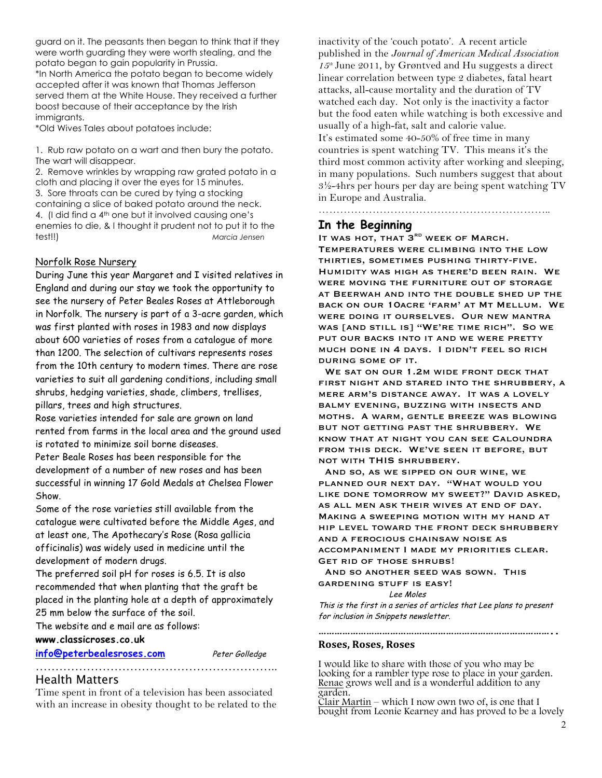guard on it. The peasants then began to think that if they were worth guarding they were worth stealing, and the potato began to gain popularity in Prussia. \*In North America the potato began to become widely accepted after it was known that Thomas Jefferson served them at the White House. They received a further boost because of their acceptance by the Irish immigrants.

\*Old Wives Tales about potatoes include:

1. Rub raw potato on a wart and then bury the potato. The wart will disappear.

2. Remove wrinkles by wrapping raw grated potato in a cloth and placing it over the eyes for 15 minutes. 3. Sore throats can be cured by tying a stocking containing a slice of baked potato around the neck. 4. (I did find a 4th one but it involved causing one's enemies to die, & I thought it prudent not to put it to the test!!) *Marcia Jensen*

## Norfolk Rose Nursery

During June this year Margaret and I visited relatives in England and during our stay we took the opportunity to see the nursery of Peter Beales Roses at Attleborough in Norfolk. The nursery is part of a 3-acre garden, which was first planted with roses in 1983 and now displays about 600 varieties of roses from a catalogue of more than 1200. The selection of cultivars represents roses from the 10th century to modern times. There are rose varieties to suit all gardening conditions, including small shrubs, hedging varieties, shade, climbers, trellises, pillars, trees and high structures.

Rose varieties intended for sale are grown on land rented from farms in the local area and the ground used is rotated to minimize soil borne diseases.

Peter Beale Roses has been responsible for the development of a number of new roses and has been successful in winning 17 Gold Medals at Chelsea Flower Show.

Some of the rose varieties still available from the catalogue were cultivated before the Middle Ages, and at least one, The Apothecary's Rose (Rosa gallicia officinalis) was widely used in medicine until the development of modern drugs.

The preferred soil pH for roses is 6.5. It is also recommended that when planting that the graft be placed in the planting hole at a depth of approximately 25 mm below the surface of the soil.

The website and e mail are as follows:

## **www.classicroses.co.uk**

**info@peterbealesroses.com** Peter Golledge

# Health Matters

Time spent in front of a television has been associated with an increase in obesity thought to be related to the

……………………………………………………..

inactivity of the 'couch potato'. A recent article published in the *Journal of American Medical Association 15th* June 2011, by Grøntved and Hu suggests a direct linear correlation between type 2 diabetes, fatal heart attacks, all-cause mortality and the duration of TV watched each day. Not only is the inactivity a factor but the food eaten while watching is both excessive and usually of a high-fat, salt and calorie value. It's estimated some 40-50% of free time in many countries is spent watching TV. This means it's the third most common activity after working and sleeping, in many populations. Such numbers suggest that about  $3\frac{1}{2}$ -4hrs per hours per day are being spent watching TV in Europe and Australia. ………………………………………………………………………

# **In the Beginning**

IT WAS HOT, THAT 3<sup>RD</sup> WEEK OF MARCH. Temperatures were climbing into the low thirties, sometimes pushing thirty-five. Humidity was high as there'd been rain. We were moving the furniture out of storage at Beerwah and into the double shed up the back on our 10acre 'farm' at Mt Mellum. We were doing it ourselves. Our new mantra WAS [AND STILL IS] "WE'RE TIME RICH". SO WE PUT OUR BACKS INTO IT AND WE WERE PRETTY much done in 4 days. I didn't feel so rich during some of it.

WE SAT ON OUR 1.2M WIDE FRONT DECK THAT first night and stared into the shrubbery, a mere arm's distance away. It was a lovely balmy evening, buzzing with insects and moths. A warm, gentle breeze was blowing but not getting past the shrubbery. We know that at night you can see Caloundra from this deck. We've seen it before, but not with THIS shrubbery.

 And so, as we sipped on our wine, we planned our next day. "What would you like done tomorrow my sweet?" David asked, as all men ask their wives at end of day. Making a sweeping motion with my hand at hip level toward the front deck shrubbery and a ferocious chainsaw noise as accompaniment I made my priorities clear. Get rid of those shrubs!

 And so another seed was sown. This gardening stuff is easy!

Lee Moles

This is the first in a series of articles that Lee plans to present for inclusion in Snippets newsletter.

**……………………………………………………………………………..**

## **Roses,&Roses,&Roses**

I would like to share with those of you who may be looking for a rambler type rose to place in your garden. Renae grows well and is a wonderful addition to any garden.

Clair Martin – which I now own two of, is one that I bought from Leonie Kearney and has proved to be a lovely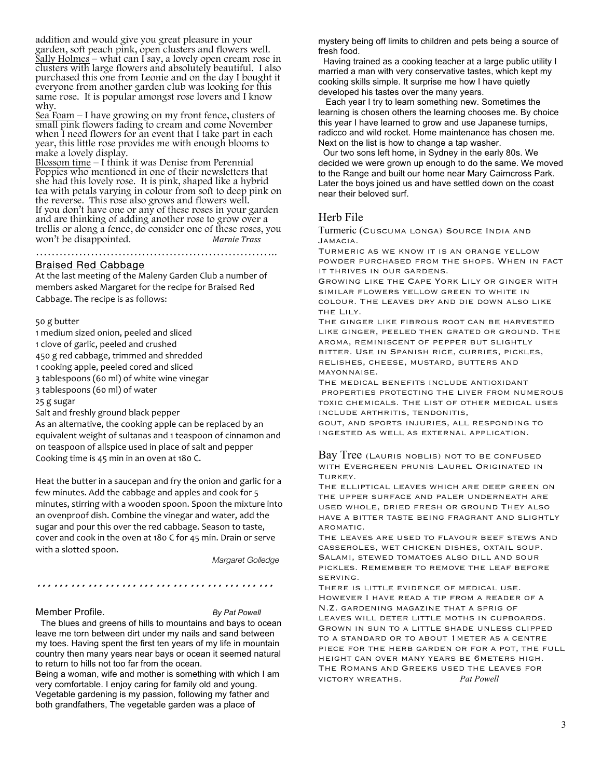addition and would give you great pleasure in your garden, soft peach pink, open clusters and flowers well. Sally Holmes – what can I say, a lovely open cream rose in clusters with large flowers and absolutely beautiful. I also purchased this one from Leonie and on the day I bought it everyone from another garden club was looking for this same rose. It is popular amongst rose lovers and I know why.

Sea Foam – I have growing on my front fence, clusters of small pink flowers fading to cream and come November when I need flowers for an event that I take part in each year, this little rose provides me with enough blooms to make a lovely display.

Blossom time – I think it was Denise from Perennial Poppies who mentioned in one of their newsletters that she had this lovely rose. It is pink, shaped like a hybrid tea with petals varying in colour from soft to deep pink on the reverse. This rose also grows and flowers well. If you don't have one or any of these roses in your garden and are thinking of adding another rose to grow over a trellis or along a fence, do consider one of these roses, you<br>won't be disappointed. Marnie Trass won't be disappointed.

………………………………………………………………

### Braised Red Cabbage

At the last meeting of the Maleny Garden Club a number of members asked Margaret for the recipe for Braised Red Cabbage. The recipe is as follows:

#### 50 g butter

1 medium sized onion, peeled and sliced

1 clove of garlic, peeled and crushed

450 g red cabbage, trimmed and shredded

1 cooking apple, peeled cored and sliced

3 tablespoons (60 ml) of white wine vinegar

3 tablespoons (60 ml) of water

25 g sugar

Salt and freshly ground black pepper

As an alternative, the cooking apple can be replaced by an equivalent weight of sultanas and 1 teaspoon of cinnamon and on teaspoon of allspice used in place of salt and pepper Cooking time is 45 min in an oven at 180 C.

Heat the butter in a saucepan and fry the onion and garlic for a few minutes. Add the cabbage and apples and cook for 5 minutes, stirring with a wooden spoon. Spoon the mixture into an ovenproof dish. Combine the vinegar and water, add the sugar and pour this over the red cabbage. Season to taste, cover and cook in the oven at 180 C for 45 min. Drain or serve with a slotted spoon.

*Margaret Golledge*

#### Member Profile. *By Pat Powell*

 The blues and greens of hills to mountains and bays to ocean leave me torn between dirt under my nails and sand between my toes. Having spent the first ten years of my life in mountain country then many years near bays or ocean it seemed natural to return to hills not too far from the ocean.

*……………………………………*

Being a woman, wife and mother is something with which I am very comfortable. I enjoy caring for family old and young. Vegetable gardening is my passion, following my father and both grandfathers, The vegetable garden was a place of

mystery being off limits to children and pets being a source of fresh food.

 Having trained as a cooking teacher at a large public utility I married a man with very conservative tastes, which kept my cooking skills simple. It surprise me how I have quietly developed his tastes over the many years.

 Each year I try to learn something new. Sometimes the learning is chosen others the learning chooses me. By choice this year I have learned to grow and use Japanese turnips, radicco and wild rocket. Home maintenance has chosen me. Next on the list is how to change a tap washer.

 Our two sons left home, in Sydney in the early 80s. We decided we were grown up enough to do the same. We moved to the Range and built our home near Mary Cairncross Park. Later the boys joined us and have settled down on the coast near their beloved surf.

# Herb File

Turmeric (Cuscuma longa) Source India and Jamacia.

Turmeric as we know it is an orange yellow powder purchased from the shops. When in fact it thrives in our gardens.

Growing like the Cape York Lily or ginger with similar flowers yellow green to white in colour. The leaves dry and die down also like the Lily.

The ginger like fibrous root can be harvested like ginger, peeled then grated or ground. The aroma, reminiscent of pepper but slightly bitter. Use in Spanish rice, curries, pickles, relishes, cheese, mustard, butters and mayonnaise.

The medical benefits include antioxidant properties protecting the liver from numerous toxic chemicals. The list of other medical uses include arthritis, tendonitis,

gout, and sports injuries, all responding to ingested as well as external application.

Bay Tree (Lauris noblis) not to be confused with Evergreen prunis Laurel Originated in TURKEY.

The elliptical leaves which are deep green on the upper surface and paler underneath are used whole, dried fresh or ground They also have a bitter taste being fragrant and slightly aromatic.

The leaves are used to flavour beef stews and casseroles, wet chicken dishes, oxtail soup. Salami, stewed tomatoes also dill and sour pickles. Remember to remove the leaf before serving.

There is little evidence of medical use. However I have read a tip from a reader of a N.Z. gardening magazine that a sprig of leaves will deter little moths in cupboards. Grown in sun to a little shade unless clipped to a standard or to about 1meter as a centre piece for the herb garden or for a pot, the full height can over many years be 6meters high. The Romans and Greeks used the leaves for victory wreaths. *Pat Powell*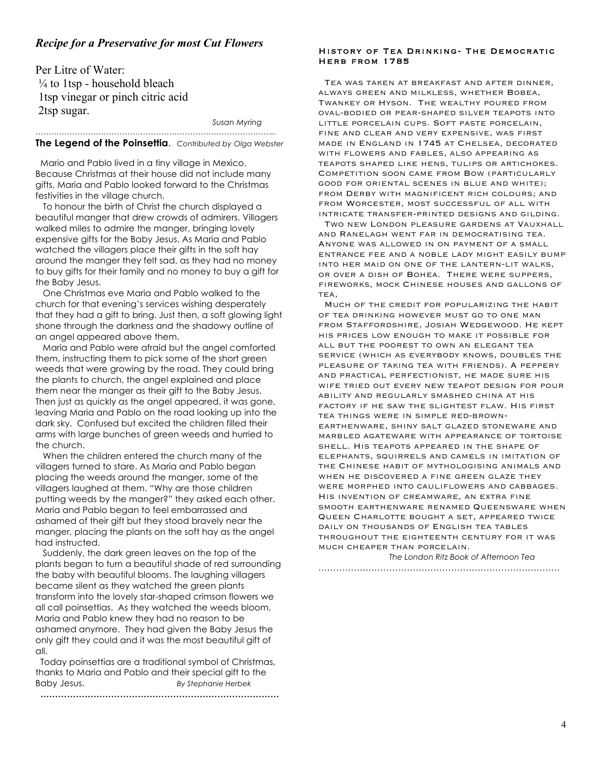# *Recipe for a Preservative for most Cut Flowers*

Per Litre of Water:  $\frac{1}{4}$  to 1tsp - household bleach 1tsp vinegar or pinch citric acid 2tsp sugar.

*Susan Myring*

#### *………………………………………………………………………………..* **The Legend of the Poinsettia**. *Contributed by Olga Webster*

 Mario and Pablo lived in a tiny village in Mexico. Because Christmas at their house did not include many gifts, Maria and Pablo looked forward to the Christmas festivities in the village church.

 To honour the birth of Christ the church displayed a beautiful manger that drew crowds of admirers. Villagers walked miles to admire the manger, bringing lovely expensive gifts for the Baby Jesus. As Maria and Pablo watched the villagers place their gifts in the soft hay around the manger they felt sad, as they had no money to buy gifts for their family and no money to buy a gift for the Baby Jesus.

 One Christmas eve Maria and Pablo walked to the church for that evening's services wishing desperately that they had a gift to bring. Just then, a soft glowing light shone through the darkness and the shadowy outline of an angel appeared above them.

 Maria and Pablo were afraid but the angel comforted them, instructing them to pick some of the short green weeds that were growing by the road. They could bring the plants to church, the angel explained and place them near the manger as their gift to the Baby Jesus. Then just as quickly as the angel appeared, it was gone, leaving Maria and Pablo on the road looking up into the dark sky. Confused but excited the children filled their arms with large bunches of green weeds and hurried to the church.

 When the children entered the church many of the villagers turned to stare. As Maria and Pablo began placing the weeds around the manger, some of the villagers laughed at them. "Why are those children putting weeds by the manger?" they asked each other. Maria and Pablo began to feel embarrassed and ashamed of their gift but they stood bravely near the manger, placing the plants on the soft hay as the angel had instructed.

 Suddenly, the dark green leaves on the top of the plants began to turn a beautiful shade of red surrounding the baby with beautiful blooms. The laughing villagers became silent as they watched the green plants transform into the lovely star-shaped crimson flowers we all call poinsettias. As they watched the weeds bloom, Maria and Pablo knew they had no reason to be ashamed anymore. They had given the Baby Jesus the only gift they could and it was the most beautiful gift of all.

 Today poinsettias are a traditional symbol of Christmas, thanks to Maria and Pablo and their special gift to the Baby Jesus. *By Stephanie Herbek*

**………………………………………………………………………**

History of Tea Drinking- The Democratic Herb from 1785

 Tea was taken at breakfast and after dinner, always green and milkless, whether Bobea, Twankey or Hyson. The wealthy poured from oval-bodied or pear-shaped silver teapots into little porcelain cups. Soft paste porcelain, fine and clear and very expensive, was first made in England in 1745 at Chelsea, decorated with flowers and fables, also appearing as teapots shaped like hens, tulips or artichokes. Competition soon came from Bow (particularly good for oriental scenes in blue and white); from Derby with magnificent rich colours; and from Worcester, most successful of all with intricate transfer-printed designs and gilding.

 Two new London pleasure gardens at Vauxhall and Ranelagh went far in democratising tea. Anyone was allowed in on payment of a small entrance fee and a noble lady might easily bump into her maid on one of the lantern-lit walks, or over a dish of Bohea. There were suppers, fireworks, mock Chinese houses and gallons of TEA.

 Much of the credit for popularizing the habit of tea drinking however must go to one man from Staffordshire, Josiah Wedgewood. He kept his prices low enough to make it possible for all but the poorest to own an elegant tea service (which as everybody knows, doubles the pleasure of taking tea with friends). A peppery and practical perfectionist, he made sure his wife tried out every new teapot design for pour ability and regularly smashed china at his factory if he saw the slightest flaw. His first tea things were in simple red-brownearthenware, shiny salt glazed stoneware and marbled agateware with appearance of tortoise shell. His teapots appeared in the shape of elephants, squirrels and camels in imitation of the Chinese habit of mythologising animals and when he discovered a fine green glaze they were morphed into cauliflowers and cabbages. His invention of creamware, an extra fine smooth earthenware renamed Queensware when Queen Charlotte bought a set, appeared twice daily on thousands of English tea tables throughout the eighteenth century for it was much cheaper than porcelain.

*The London Ritz Book of Afternoon Tea* ……………………………………………………………………….